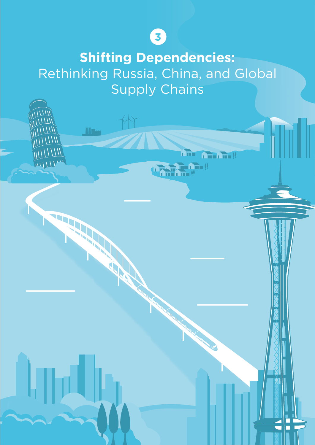# **3**

**Shifting Dependencies:** Rethinking Russia, China, and Global Supply Chains

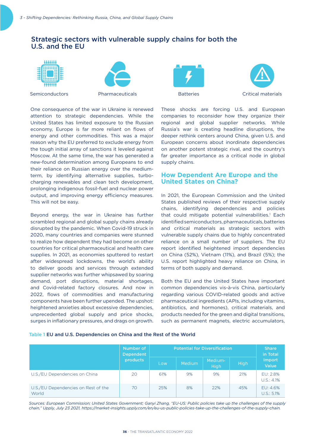One consequence of the war in Ukraine is renewed attention to strategic dependencies. While the United States has limited exposure to the Russian economy, Europe is far more reliant on flows of energy and other commodities. This was a major reason why the EU preferred to exclude energy from the tough initial array of sanctions it leveled against Moscow. At the same time, the war has generated a new-found determination among Europeans to end their reliance on Russian energy over the mediumterm, by identifying alternative supplies, turbocharging renewables and clean tech development, prolonging indigenous fossil-fuel and nuclear power output, and improving energy efficiency measures.

Beyond energy, the war in Ukraine has further scrambled regional and global supply chains already disrupted by the pandemic. When Covid-19 struck in 2020, many countries and companies were stunned to realize how dependent they had become on other countries for critical pharmaceutical and health care supplies. In 2021, as economies sputtered to restart after widespread lockdowns, the world's ability to deliver goods and services through extended supplier networks was further whipsawed by soaring demand, port disruptions, material shortages, and Covid-related factory closures. And now in 2022, flows of commodities and manufacturing components have been further upended. The upshot: heightened anxieties about excessive dependencies, unprecedented global supply and price shocks, surges in inflationary pressures, and drags on growth.

## Strategic sectors with vulnerable supply chains for both the U.S. and the EU



This will not be easy.





These shocks are forcing U.S. and European companies to reconsider how they organize their regional and global supplier networks. While Russia's war is creating headline disruptions, the deeper rethink centers around China, given U.S. and European concerns about inordinate dependencies on another potent strategic rival, and the country's far greater importance as a critical node in global supply chains.

#### **How Dependent Are Europe and the United States on China?**

In 2021, the European Commission and the United States published reviews of their respective supply chains, identifying dependencies and policies that could mitigate potential vulnerabilities.<sup>1</sup> Each identified semiconductors, pharmaceuticals, batteries and critical materials as strategic sectors with vulnerable supply chains due to highly concentrated reliance on a small number of suppliers. The EU report identified heightened import dependencies on China (52%), Vietnam (11%), and Brazil (5%); the U.S. report highlighted heavy reliance on China, in terms of both supply and demand.

Both the EU and the United States have important common dependencies vis-à-vis China, particularly regarding various COVID-related goods and active pharmaceutical ingredients (APIs, including vitamins, antibiotics, and hormones), critical materials, and products needed for the green and digital transitions, such as permanent magnets, electric accumulators,

#### Table 1 EU and U.S. Dependencies on China and the Rest of the World

|                                              | Number of<br><b>Dependent</b><br><b>products</b> | <b>Potential for Diversification</b> |               |                 |      | <b>Share</b><br>in Total |
|----------------------------------------------|--------------------------------------------------|--------------------------------------|---------------|-----------------|------|--------------------------|
|                                              |                                                  | Low                                  | <b>Medium</b> | Medium-<br>High | High | Import<br><b>Value</b>   |
| U.S./EU Dependencies on China                | 20                                               | 61%                                  | 9%            | 9%              | 21%  | FU: 2.8%<br>U.S.: 4.1%   |
| U.S./EU Dependencies on Rest of the<br>World | 70                                               | 25%                                  | 8%            | 22%             | 45%  | EU: 4.6%<br>U.S.: 5.1%   |

*Sources: European Commission; United States Government; Ganyi Zhang, "EU-US: Public policies take up the challenges of the supply chain," Upply, July 23 2021, https://market-insights.upply.com/en/eu-us-public-policies-take-up-the-challenges-of-the-supply-chain.*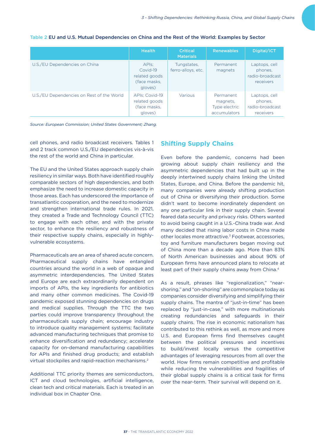|                                           | <b>Health</b>                                                 | <b>Critical</b><br><b>Materials</b> | <b>Renewables</b>                                      | Digital/ICT                                              |
|-------------------------------------------|---------------------------------------------------------------|-------------------------------------|--------------------------------------------------------|----------------------------------------------------------|
| U.S./EU Dependencies on China             | APIs:<br>Covid-19<br>related goods<br>(face masks,<br>gloves) | Tungstates,<br>ferro-alloys, etc.   | Permanent<br>magnets                                   | Laptops, cell<br>phones.<br>radio-broadcast<br>receivers |
| U.S./EU Dependencies on Rest of the World | APIs: Covid-19<br>related goods<br>(face masks,<br>gloves)    | Various                             | Permanent<br>magnets,<br>Type electric<br>accumulators | Laptops, cell<br>phones.<br>radio-broadcast<br>receivers |

#### Table 2 EU and U.S. Mutual Dependencies on China and the Rest of the World: Examples by Sector

*Source: European Commission; United States Government; Zhang.*

cell phones, and radio broadcast receivers. Tables 1 and 2 track common U.S./EU dependencies vis-à-vis the rest of the world and China in particular.

The EU and the United States approach supply chain resiliency in similar ways. Both have identified roughly comparable sectors of high dependencies, and both emphasize the need to increase domestic capacity in those areas. Each has underscored the importance of transatlantic cooperation, and the need to modernize and strengthen international trade rules. In 2021, they created a Trade and Technology Council (TTC) to engage with each other, and with the private sector, to enhance the resiliency and robustness of their respective supply chains, especially in highlyvulnerable ecosystems.

Pharmaceuticals are an area of shared acute concern. Pharmaceutical supply chains have entangled countries around the world in a web of opaque and asymmetric interdependencies. The United States and Europe are each extraordinarily dependent on imports of APIs, the key ingredients for antibiotics and many other common medicines. The Covid-19 pandemic exposed stunning dependencies on drugs and medical supplies. Through the TTC the two parties could improve transparency throughout the pharmaceuticals supply chain; encourage industry to introduce quality management systems; facilitate advanced manufacturing techniques that promise to enhance diversification and redundancy; accelerate capacity for on-demand manufacturing capabilities for APIs and finished drug products; and establish virtual stockpiles and rapid-reaction mechanisms.<sup>2</sup>

Additional TTC priority themes are semiconductors, ICT and cloud technologies, artificial intelligence, clean tech and critical materials. Each is treated in an individual box in Chapter One.

### **Shifting Supply Chains**

Even before the pandemic, concerns had been growing about supply chain resiliency and the asymmetric dependencies that had built up in the deeply intertwined supply chains linking the United States, Europe, and China. Before the pandemic hit, many companies were already shifting production out of China or diversifying their production. Some didn't want to become inordinately dependent on any one particular link in their supply chain. Several feared data security and privacy risks. Others wanted to avoid being caught in a U.S.-China trade war. And many decided that rising labor costs in China made other locales more attractive.3 Footwear, accessories, toy and furniture manufacturers began moving out of China more than a decade ago. More than 83% of North American businesses and about 90% of European firms have announced plans to relocate at least part of their supply chains away from China.<sup>4</sup>

As a result, phrases like "regionalization," "nearshoring," and "on-shoring" are commonplace today as companies consider diversifying and simplifying their supply chains. The mantra of "just-in-time" has been replaced by "just-in-case," with more multinationals creating redundancies and safeguards in their supply chains. The rise in economic nationalism has contributed to this rethink as well, as more and more U.S. and European firms find themselves caught between the political pressures and incentives to build/invest locally versus the competitive advantages of leveraging resources from all over the world. How firms remain competitive and profitable while reducing the vulnerabilities and fragilities of their global supply chains is a critical task for firms over the near-term. Their survival will depend on it.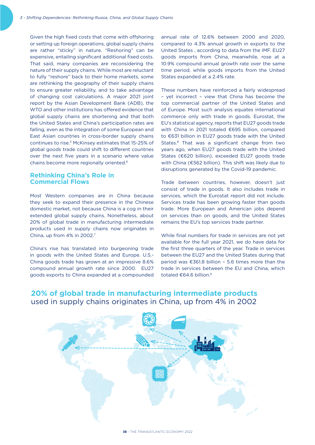Given the high fixed costs that come with offshoring or setting up foreign operations, global supply chains are rather "sticky" in nature. "Reshoring" can be expensive, entailing significant additional fixed costs. That said, many companies are reconsidering the nature of their supply chains. While most are reluctant to fully "reshore" back to their home markets, some are rethinking the geography of their supply chains to ensure greater reliability, and to take advantage of changing cost calculations. A major 2021 joint report by the Asian Development Bank (ADB), the WTO and other institutions has offered evidence that global supply chains are shortening and that both the United States and China's participation rates are falling, even as the integration of some European and East Asian countries in cross-border supply chains continues to rise.5 McKinsey estimates that 15-25% of global goods trade could shift to different countries over the next five years in a scenario where value chains become more regionally oriented.6

## **Rethinking China's Role in Commercial Flows**

Most Western companies are in China because they seek to expand their presence in the Chinese domestic market, not because China is a cog in their extended global supply chains. Nonetheless, about 20% of global trade in manufacturing intermediate products used in supply chains now originates in China, up from 4% in 2002.<sup>7</sup>

China's rise has translated into burgeoning trade in goods with the United States and Europe. U.S.- China goods trade has grown at an impressive 8.6% compound annual growth rate since 2000. EU27 goods exports to China expanded at a compounded annual rate of 12.6% between 2000 and 2020, compared to 4.3% annual growth in exports to the United States , according to data from the IMF. EU27 goods imports from China, meanwhile, rose at a 10.9% compound annual growth rate over the same time period, while goods imports from the United States expanded at a 2.4% rate.

These numbers have reinforced a fairly widespread – yet incorrect – view that China has become the top commercial partner of the United States and of Europe. Most such analysis equates international commerce only with trade in goods. Eurostat, the EU's statistical agency, reports that EU27 goods trade with China in 2021 totaled €695 billion, compared to €631 billion in EU27 goods trade with the United States.<sup>8</sup> That was a significant change from two years ago, when EU27 goods trade with the United States (€620 billion), exceeded EU27 goods trade with China ( $€562$  billion). This shift was likely due to disruptions generated by the Covid-19 pandemic.

Trade between countries, however, doesn't just consist of trade in goods. It also includes trade in services, which the Eurostat report did not include. Services trade has been growing faster than goods trade. More European and American jobs depend on services than on goods, and the United States remains the EU's top services trade partner.

While final numbers for trade in services are not yet available for the full year 2021, we do have data for the first three quarters of the year. Trade in services between the EU27 and the United States during that period was  $£361.8$  billion - 5.6 times more than the trade in services between the EU and China, which totaled  $$64.6$  billion.<sup>9</sup>



# **20% of global trade in manufacturing intermediate products** used in supply chains originates in China, up from 4% in 2002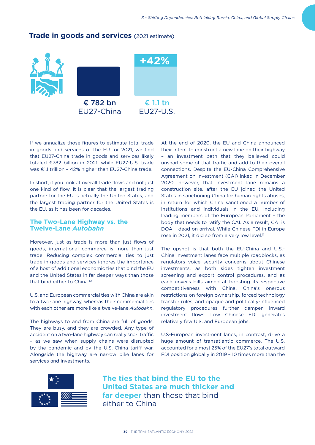

## **Trade in goods and services** (2021 estimate)

If we annualize those figures to estimate total trade in goods and services of the EU for 2021, we find that EU27-China trade in goods and services likely totaled €782 billion in 2021, while EU27-U.S. trade was €1.1 trillion - 42% higher than EU27-China trade.

In short, if you look at overall trade flows and not just one kind of flow, it is clear that the largest trading partner for the EU is actually the United States, and the largest trading partner for the United States is the EU, as it has been for decades.

#### **The Two-Lane Highway vs. the Twelve-Lane** *Autobahn*

Moreover, just as trade is more than just flows of goods, international commerce is more than just trade. Reducing complex commercial ties to just trade in goods and services ignores the importance of a host of additional economic ties that bind the EU and the United States in far deeper ways than those that bind either to China.10

U.S. and European commercial ties with China are akin to a two-lane highway, whereas their commercial ties with each other are more like a twelve-lane *Autobahn*.

The highways to and from China are full of goods. They are busy, and they are crowded. Any type of accident on a two-lane highway can really snarl traffic – as we saw when supply chains were disrupted by the pandemic and by the U.S.-China tariff war. Alongside the highway are narrow bike lanes for services and investments.

At the end of 2020, the EU and China announced their intent to construct a new lane on their highway – an investment path that they believed could unsnarl some of that traffic and add to their overall connections. Despite the EU-China Comprehensive Agreement on Investment (CAI) inked in December 2020, however, that investment lane remains a construction site, after the EU joined the United States in sanctioning China for human rights abuses, in return for which China sanctioned a number of institutions and individuals in the EU, including leading members of the European Parliament – the body that needs to ratify the CAI. As a result, CAI is DOA – dead on arrival. While Chinese FDI in Europe rose in 2021, it did so from a very low level.<sup>11</sup>

The upshot is that both the EU-China and U.S.- China investment lanes face multiple roadblocks, as regulators voice security concerns about Chinese investments, as both sides tighten investment screening and export control procedures, and as each unveils bills aimed at boosting its respective competitiveness with China. China's onerous restrictions on foreign ownership, forced technology transfer rules, and opaque and politically-influenced regulatory procedures further dampen inward investment flows. Low Chinese FDI generates relatively few U.S. and European jobs.

U.S-European investment lanes, in contrast, drive a huge amount of transatlantic commerce. The U.S. accounted for almost 25% of the EU27's total outward FDI position globally in 2019 – 10 times more than the



**The ties that bind the EU to the United States are much thicker and far deeper** than those that bind either to China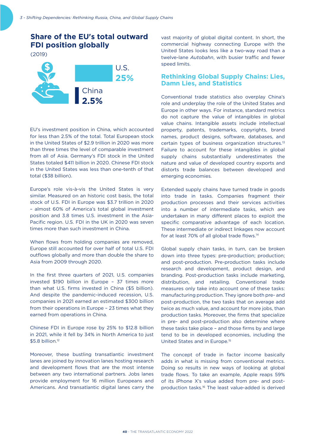# **Share of the EU's total outward FDI position globally**

(2019)



EU's investment position in China, which accounted for less than 2.5% of the total. Total European stock in the United States of \$2.9 trillion in 2020 was more than three times the level of comparable investment from all of Asia. Germany's FDI stock in the United States totaled \$411 billion in 2020. Chinese FDI stock in the United States was less than one-tenth of that total (\$38 billion).

Europe's role vis-à-vis the United States is very similar. Measured on an historic cost basis, the total stock of U.S. FDI in Europe was \$3.7 trillion in 2020 – almost 60% of America's total global investment position and 3.8 times U.S. investment in the Asia-Pacific region. U.S. FDI in the UK in 2020 was seven times more than such investment in China.

When flows from holding companies are removed, Europe still accounted for over half of total U.S. FDI outflows globally and more than double the share to Asia from 2009 through 2020.

In the first three quarters of 2021, U.S. companies invested \$190 billion in Europe – 37 times more than what U.S. firms invested in China (\$5 billion). And despite the pandemic-induced recession, U.S. companies in 2021 earned an estimated \$300 billion from their operations in Europe – 23 times what they earned from operations in China.

Chinese FDI in Europe rose by 25% to \$12.8 billion in 2021, while it fell by 34% in North America to just \$5.8 billion.<sup>12</sup>

Moreover, these bustling transatlantic investment lanes are joined by innovation lanes hosting research and development flows that are the most intense between any two international partners. Jobs lanes provide employment for 16 million Europeans and Americans. And transatlantic digital lanes carry the

vast majority of global digital content. In short, the commercial highway connecting Europe with the United States looks less like a two-way road than a twelve-lane *Autobahn*, with busier traffic and fewer speed limits.

#### **Rethinking Global Supply Chains: Lies, Damn Lies, and Statistics**

Conventional trade statistics also overplay China's role and underplay the role of the United States and Europe in other ways. For instance, standard metrics do not capture the value of intangibles in global value chains. Intangible assets include intellectual property, patents, trademarks, copyrights, brand names, product designs, software, databases, and certain types of business organization structures.13 Failure to account for these intangibles in global supply chains substantially underestimates the nature and value of developed country exports and distorts trade balances between developed and emerging economies.

Extended supply chains have turned trade in goods into trade in tasks. Companies fragment their production processes and their services activities into a number of intermediate tasks, which are undertaken in many different places to exploit the specific comparative advantage of each location. These intermediate or indirect linkages now account for at least 70% of all global trade flows.14

Global supply chain tasks, in turn, can be broken down into three types: pre-production; production; and post-production. Pre-production tasks include research and development, product design, and branding. Post-production tasks include marketing, distribution, and retailing. Conventional trade measures only take into account one of these tasks: manufacturing production. They ignore both pre- and post-production, the two tasks that on average add twice as much value, and account for more jobs, than production tasks. Moreover, the firms that specialize in pre- and post-production also determine where these tasks take place – and those firms by and large tend to be in developed economies, including the United States and in Europe.15

The concept of trade in factor income basically adds in what is missing from conventional metrics. Doing so results in new ways of looking at global trade flows. To take an example, Apple reaps 59% of its iPhone X's value added from pre- and postproduction tasks.16 The least value-added is derived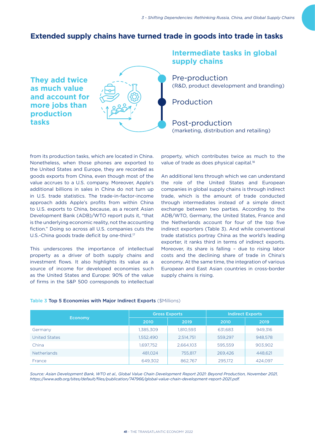## **Extended supply chains have turned trade in goods into trade in tasks**



# **Intermediate tasks in global supply chains**

Pre-production (R&D, product development and branding)

Production

Post-production (marketing, distribution and retailing)

from its production tasks, which are located in China. Nonetheless, when those phones are exported to the United States and Europe, they are recorded as goods exports from China, even though most of the value accrues to a U.S. company. Moreover, Apple's additional billions in sales in China do not turn up in U.S. trade statistics. The trade-in-factor-income approach adds Apple's profits from within China to U.S. exports to China, because, as a recent Asian Development Bank (ADB)/WTO report puts it, "that is the underlying economic reality, not the accounting fiction." Doing so across all U.S. companies cuts the U.S.-China goods trade deficit by one-third.<sup>17</sup>

This underscores the importance of intellectual property as a driver of both supply chains and investment flows. It also highlights its value as a source of income for developed economies such as the United States and Europe: 90% of the value of firms in the S&P 500 corresponds to intellectual

property, which contributes twice as much to the value of trade as does physical capital.<sup>18</sup>

An additional lens through which we can understand the role of the United States and European companies in global supply chains is through indirect trade, which is the amount of trade conducted through intermediates instead of a simple direct exchange between two parties. According to the ADB/WTO, Germany, the United States, France and the Netherlands account for four of the top five indirect exporters (Table 3). And while conventional trade statistics portray China as the world's leading exporter, it ranks third in terms of indirect exports. Moreover, its share is falling – due to rising labor costs and the declining share of trade in China's economy. At the same time, the integration of various European and East Asian countries in cross-border supply chains is rising.

| Economy            |           | <b>Gross Exports</b> | <b>Indirect Exports</b> |         |  |
|--------------------|-----------|----------------------|-------------------------|---------|--|
|                    | 2010      | 2019                 | 2010                    | 2019    |  |
| Germany            | 1,385,309 | 1,810,593            | 631,683                 | 949.316 |  |
| United States      | 1,552,490 | 2,514,751            | 559.297                 | 948.578 |  |
| China              | 1.697.752 | 2,664,103            | 595,559                 | 903,902 |  |
| <b>Netherlands</b> | 481.024   | 755.817              | 269.426                 | 448.621 |  |
| France             | 649,302   | 862,767              | 295,172                 | 424.097 |  |

#### Table 3 Top 5 Economies with Major Indirect Exports (\$Millions)

*Source: Asian Development Bank, WTO et al., Global Value Chain Development Report 2021: Beyond Production, November 2021, https://www.adb.org/sites/default/files/publication/747966/global-value-chain-development-report-2021.pdf.*